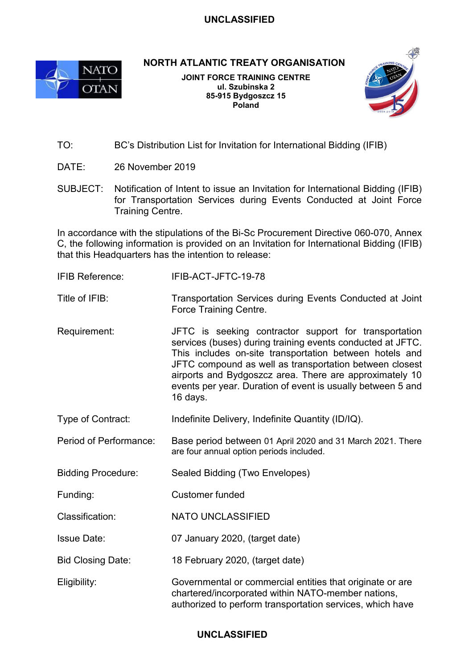## **UNCLASSIFIED**



**NORTH ATLANTIC TREATY ORGANISATION**

**JOINT FORCE TRAINING CENTRE ul. Szubinska 2 85-915 Bydgoszcz 15 Poland**



- TO: BC's Distribution List for Invitation for International Bidding (IFIB)
- DATE: 26 November 2019
- SUBJECT: Notification of Intent to issue an Invitation for International Bidding (IFIB) for Transportation Services during Events Conducted at Joint Force Training Centre.

In accordance with the stipulations of the Bi-Sc Procurement Directive 060-070, Annex C, the following information is provided on an Invitation for International Bidding (IFIB) that this Headquarters has the intention to release:

- IFIB Reference: IFIB-ACT-JFTC-19-78
- Title of IFIB: Transportation Services during Events Conducted at Joint Force Training Centre.
- Requirement: JFTC is seeking contractor support for transportation services (buses) during training events conducted at JFTC. This includes on-site transportation between hotels and JFTC compound as well as transportation between closest airports and Bydgoszcz area. There are approximately 10 events per year. Duration of event is usually between 5 and 16 days.
- Type of Contract: Indefinite Delivery, Indefinite Quantity (ID/IQ).
- Period of Performance: Base period between 01 April 2020 and 31 March 2021. There are four annual option periods included.
- Bidding Procedure: Sealed Bidding (Two Envelopes)
- Funding: Customer funded
- Classification: NATO UNCLASSIFIED
- Issue Date: 07 January 2020, (target date)
- Bid Closing Date: 18 February 2020, (target date)
- Eligibility: Governmental or commercial entities that originate or are chartered/incorporated within NATO-member nations, authorized to perform transportation services, which have

## **UNCLASSIFIED**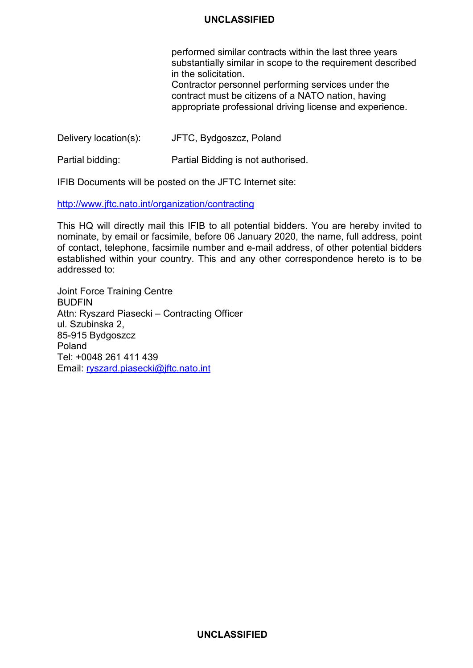## **UNCLASSIFIED**

performed similar contracts within the last three years substantially similar in scope to the requirement described in the solicitation.

Contractor personnel performing services under the contract must be citizens of a NATO nation, having appropriate professional driving license and experience.

Delivery location(s): JFTC, Bydgoszcz, Poland

Partial bidding: Partial Bidding is not authorised.

IFIB Documents will be posted on the JFTC Internet site:

<http://www.jftc.nato.int/organization/contracting>

This HQ will directly mail this IFIB to all potential bidders. You are hereby invited to nominate, by email or facsimile, before 06 January 2020, the name, full address, point of contact, telephone, facsimile number and e-mail address, of other potential bidders established within your country. This and any other correspondence hereto is to be addressed to:

Joint Force Training Centre **BUDFIN** Attn: Ryszard Piasecki – Contracting Officer ul. Szubinska 2, 85-915 Bydgoszcz Poland Tel: +0048 261 411 439 Email: [ryszard.piasecki@jftc.nato.int](mailto:ryszard.piasecki@jftc.nato.int)